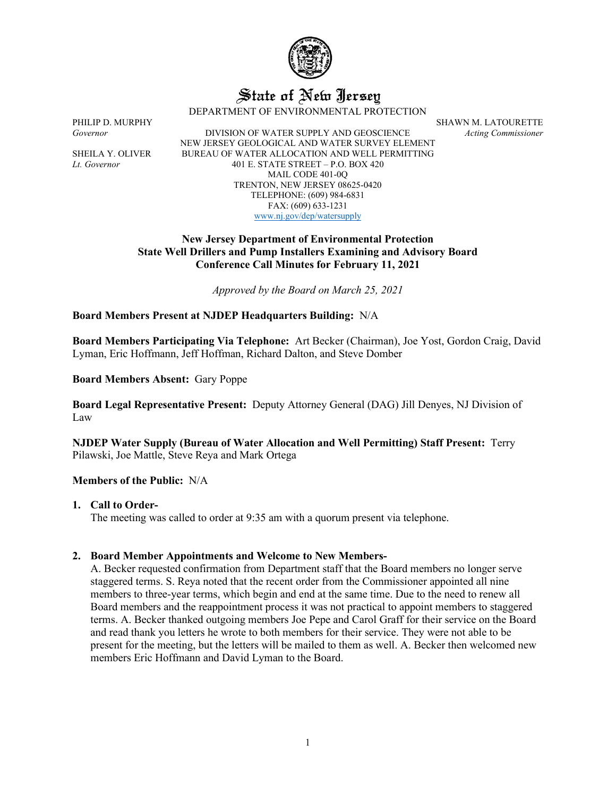

# State of New Jersey

DEPARTMENT OF ENVIRONMENTAL PROTECTION

*Governor* DIVISION OF WATER SUPPLY AND GEOSCIENCE *Acting Commissioner* NEW JERSEY GEOLOGICAL AND WATER SURVEY ELEMENT SHEILA Y. OLIVER BUREAU OF WATER ALLOCATION AND WELL PERMITTING *Lt. Governor* 401 E. STATE STREET – P.O. BOX 420 MAIL CODE 401-0Q TRENTON, NEW JERSEY 08625-0420 TELEPHONE: (609) 984-6831 FAX: (609) 633-1231 [www.nj.gov/dep/watersupply](http://www.nj.gov/dep/watersupply)

PHILIP D. MURPHY SHAWN M. LATOURETTE

# **New Jersey Department of Environmental Protection State Well Drillers and Pump Installers Examining and Advisory Board Conference Call Minutes for February 11, 2021**

*Approved by the Board on March 25, 2021*

## **Board Members Present at NJDEP Headquarters Building:** N/A

**Board Members Participating Via Telephone:** Art Becker (Chairman), Joe Yost, Gordon Craig, David Lyman, Eric Hoffmann, Jeff Hoffman, Richard Dalton, and Steve Domber

**Board Members Absent:** Gary Poppe

**Board Legal Representative Present:** Deputy Attorney General (DAG) Jill Denyes, NJ Division of Law

**NJDEP Water Supply (Bureau of Water Allocation and Well Permitting) Staff Present:** Terry Pilawski, Joe Mattle, Steve Reya and Mark Ortega

## **Members of the Public:** N/A

#### **1. Call to Order-**

The meeting was called to order at 9:35 am with a quorum present via telephone.

## **2. Board Member Appointments and Welcome to New Members-**

A. Becker requested confirmation from Department staff that the Board members no longer serve staggered terms. S. Reya noted that the recent order from the Commissioner appointed all nine members to three-year terms, which begin and end at the same time. Due to the need to renew all Board members and the reappointment process it was not practical to appoint members to staggered terms. A. Becker thanked outgoing members Joe Pepe and Carol Graff for their service on the Board and read thank you letters he wrote to both members for their service. They were not able to be present for the meeting, but the letters will be mailed to them as well. A. Becker then welcomed new members Eric Hoffmann and David Lyman to the Board.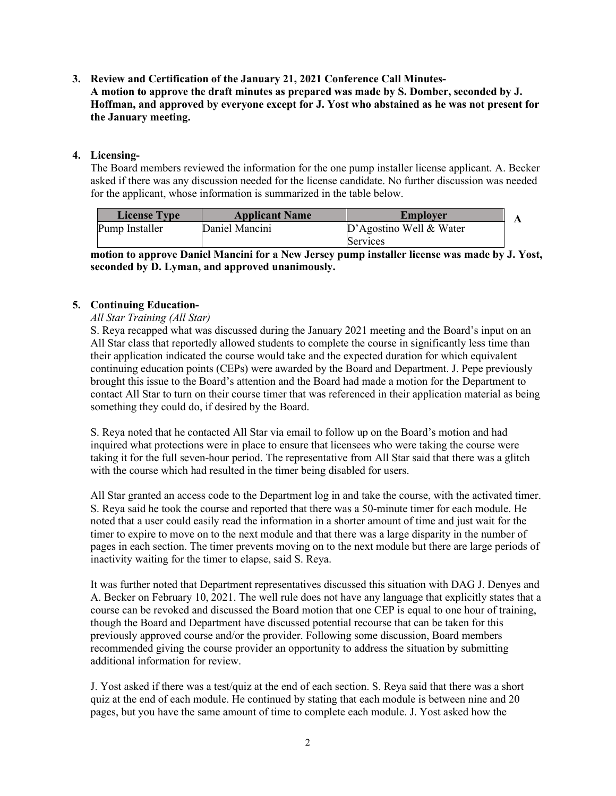## **3. Review and Certification of the January 21, 2021 Conference Call Minutes-A motion to approve the draft minutes as prepared was made by S. Domber, seconded by J. Hoffman, and approved by everyone except for J. Yost who abstained as he was not present for the January meeting.**

# **4. Licensing-**

The Board members reviewed the information for the one pump installer license applicant. A. Becker asked if there was any discussion needed for the license candidate. No further discussion was needed for the applicant, whose information is summarized in the table below.

| <b>License Type</b> | <b>Applicant Name</b> | Employer                |  |
|---------------------|-----------------------|-------------------------|--|
| Pump Installer      | Daniel Mancini        | D'Agostino Well & Water |  |
|                     |                       | Services                |  |

**motion to approve Daniel Mancini for a New Jersey pump installer license was made by J. Yost, seconded by D. Lyman, and approved unanimously.**

# **5. Continuing Education-**

## *All Star Training (All Star)*

S. Reya recapped what was discussed during the January 2021 meeting and the Board's input on an All Star class that reportedly allowed students to complete the course in significantly less time than their application indicated the course would take and the expected duration for which equivalent continuing education points (CEPs) were awarded by the Board and Department. J. Pepe previously brought this issue to the Board's attention and the Board had made a motion for the Department to contact All Star to turn on their course timer that was referenced in their application material as being something they could do, if desired by the Board.

S. Reya noted that he contacted All Star via email to follow up on the Board's motion and had inquired what protections were in place to ensure that licensees who were taking the course were taking it for the full seven-hour period. The representative from All Star said that there was a glitch with the course which had resulted in the timer being disabled for users.

All Star granted an access code to the Department log in and take the course, with the activated timer. S. Reya said he took the course and reported that there was a 50-minute timer for each module. He noted that a user could easily read the information in a shorter amount of time and just wait for the timer to expire to move on to the next module and that there was a large disparity in the number of pages in each section. The timer prevents moving on to the next module but there are large periods of inactivity waiting for the timer to elapse, said S. Reya.

It was further noted that Department representatives discussed this situation with DAG J. Denyes and A. Becker on February 10, 2021. The well rule does not have any language that explicitly states that a course can be revoked and discussed the Board motion that one CEP is equal to one hour of training, though the Board and Department have discussed potential recourse that can be taken for this previously approved course and/or the provider. Following some discussion, Board members recommended giving the course provider an opportunity to address the situation by submitting additional information for review.

J. Yost asked if there was a test/quiz at the end of each section. S. Reya said that there was a short quiz at the end of each module. He continued by stating that each module is between nine and 20 pages, but you have the same amount of time to complete each module. J. Yost asked how the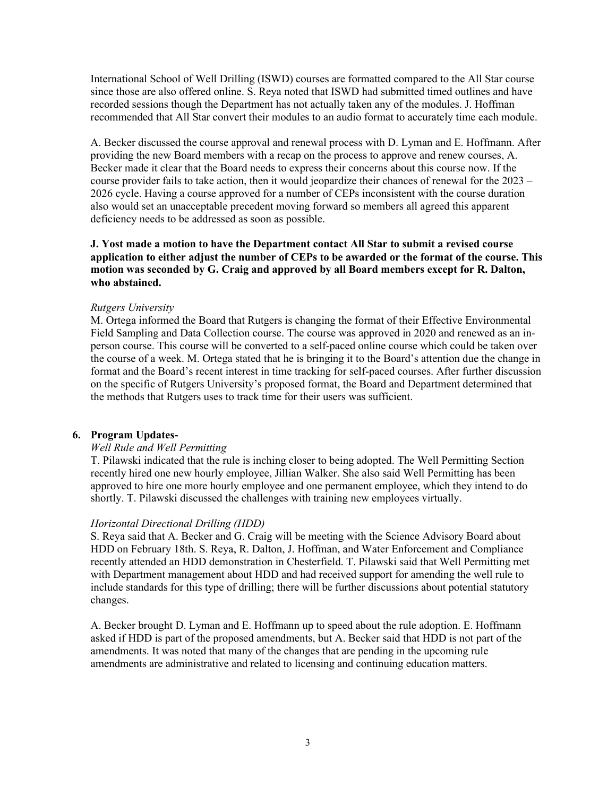International School of Well Drilling (ISWD) courses are formatted compared to the All Star course since those are also offered online. S. Reya noted that ISWD had submitted timed outlines and have recorded sessions though the Department has not actually taken any of the modules. J. Hoffman recommended that All Star convert their modules to an audio format to accurately time each module.

A. Becker discussed the course approval and renewal process with D. Lyman and E. Hoffmann. After providing the new Board members with a recap on the process to approve and renew courses, A. Becker made it clear that the Board needs to express their concerns about this course now. If the course provider fails to take action, then it would jeopardize their chances of renewal for the 2023 – 2026 cycle. Having a course approved for a number of CEPs inconsistent with the course duration also would set an unacceptable precedent moving forward so members all agreed this apparent deficiency needs to be addressed as soon as possible.

**J. Yost made a motion to have the Department contact All Star to submit a revised course application to either adjust the number of CEPs to be awarded or the format of the course. This motion was seconded by G. Craig and approved by all Board members except for R. Dalton, who abstained.**

#### *Rutgers University*

M. Ortega informed the Board that Rutgers is changing the format of their Effective Environmental Field Sampling and Data Collection course. The course was approved in 2020 and renewed as an inperson course. This course will be converted to a self-paced online course which could be taken over the course of a week. M. Ortega stated that he is bringing it to the Board's attention due the change in format and the Board's recent interest in time tracking for self-paced courses. After further discussion on the specific of Rutgers University's proposed format, the Board and Department determined that the methods that Rutgers uses to track time for their users was sufficient.

## **6. Program Updates-**

#### *Well Rule and Well Permitting*

T. Pilawski indicated that the rule is inching closer to being adopted. The Well Permitting Section recently hired one new hourly employee, Jillian Walker. She also said Well Permitting has been approved to hire one more hourly employee and one permanent employee, which they intend to do shortly. T. Pilawski discussed the challenges with training new employees virtually.

#### *Horizontal Directional Drilling (HDD)*

S. Reya said that A. Becker and G. Craig will be meeting with the Science Advisory Board about HDD on February 18th. S. Reya, R. Dalton, J. Hoffman, and Water Enforcement and Compliance recently attended an HDD demonstration in Chesterfield. T. Pilawski said that Well Permitting met with Department management about HDD and had received support for amending the well rule to include standards for this type of drilling; there will be further discussions about potential statutory changes.

A. Becker brought D. Lyman and E. Hoffmann up to speed about the rule adoption. E. Hoffmann asked if HDD is part of the proposed amendments, but A. Becker said that HDD is not part of the amendments. It was noted that many of the changes that are pending in the upcoming rule amendments are administrative and related to licensing and continuing education matters.